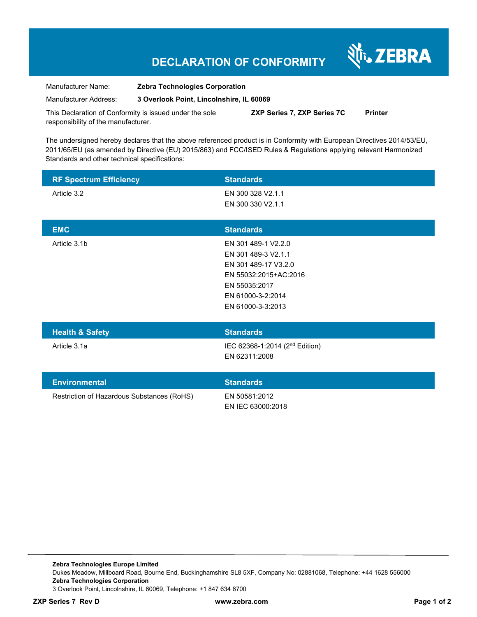# **DECLARATION OF CONFORMITY**

Nr. ZEBRA

| Manufacturer Name:    | <b>Zebra Technologies Corporation</b>    |
|-----------------------|------------------------------------------|
| Manufacturer Address: | 3 Overlook Point, Lincolnshire, IL 60069 |

This Declaration of Conformity is issued under the sole responsibility of the manufacturer. **ZXP Series 7, ZXP Series 7C Printer** 

The undersigned hereby declares that the above referenced product is in Conformity with European Directives 2014/53/EU, 2011/65/EU (as amended by Directive (EU) 2015/863) and FCC/ISED Rules & Regulations applying relevant Harmonized Standards and other technical specifications:

| <b>RF Spectrum Efficiency</b>              | <b>Standards</b>                                                                                                                                       |
|--------------------------------------------|--------------------------------------------------------------------------------------------------------------------------------------------------------|
| Article 3.2                                | EN 300 328 V2.1.1<br>EN 300 330 V2.1.1                                                                                                                 |
| <b>EMC</b>                                 | <b>Standards</b>                                                                                                                                       |
| Article 3.1b                               | EN 301 489-1 V2.2.0<br>EN 301 489-3 V2.1.1<br>EN 301 489-17 V3.2.0<br>EN 55032:2015+AC:2016<br>EN 55035:2017<br>EN 61000-3-2:2014<br>EN 61000-3-3:2013 |
| <b>Health &amp; Safety</b>                 | <b>Standards</b>                                                                                                                                       |
| Article 3.1a                               | IEC 62368-1:2014 (2 <sup>nd</sup> Edition)<br>EN 62311:2008                                                                                            |
| <b>Environmental</b>                       | <b>Standards</b>                                                                                                                                       |
| Restriction of Hazardous Substances (RoHS) | EN 50581:2012<br>EN IEC 63000:2018                                                                                                                     |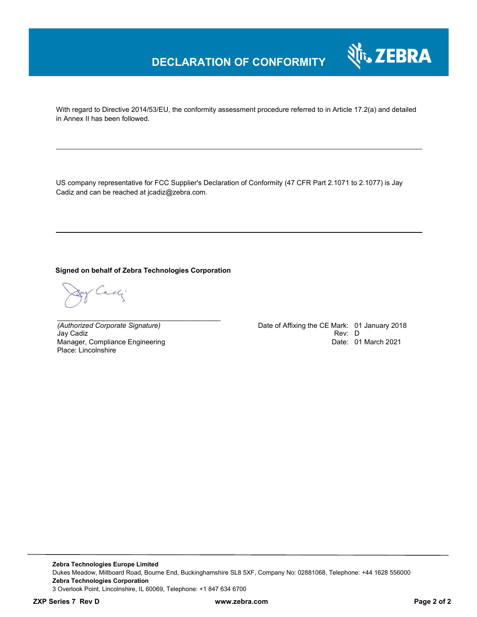## **DECLARATION OF CONFORMITY**



With regard to Directive 2014/53/EU, the conformity assessment procedure referred to in Article 17.2(a) and detailed in Annex II has been followed.

US company representative for FCC Supplier's Declaration of Conformity (47 CFR Part 2.1071 to 2.1077) is Jay Cadiz and can be reached at jcadiz@zebra.com.

#### **Signed on behalf of Zebra Technologies Corporation**

*\_\_\_\_\_\_\_\_\_\_\_\_\_\_\_\_\_\_\_\_\_\_\_\_\_\_\_\_\_\_\_\_\_\_\_\_\_\_\_\_\_\_*

Cady.

Jay Cadiz Manager, Compliance Engineering Place: Lincolnshire

*(Authorized Corporate Signature)* Date of Affixing the CE Mark: 01 January 2018 Date: 01 March 2021

**Zebra Technologies Europe Limited**  Dukes Meadow, Millboard Road, Bourne End, Buckinghamshire SL8 5XF, Company No: 02881068, Telephone: +44 1628 556000 **Zebra Technologies Corporation**  3 Overlook Point, Lincolnshire, IL 60069, Telephone: +1 847 634 6700